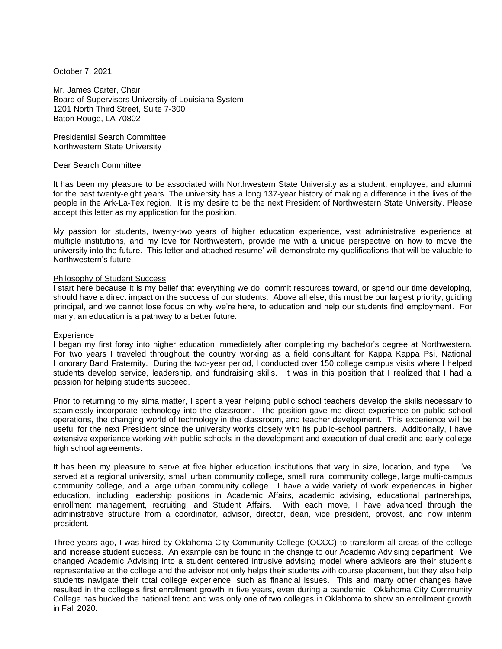October 7, 2021

Mr. James Carter, Chair Board of Supervisors University of Louisiana System 1201 North Third Street, Suite 7-300 Baton Rouge, LA 70802

Presidential Search Committee Northwestern State University

Dear Search Committee:

It has been my pleasure to be associated with Northwestern State University as a student, employee, and alumni for the past twenty-eight years. The university has a long 137-year history of making a difference in the lives of the people in the Ark-La-Tex region. It is my desire to be the next President of Northwestern State University. Please accept this letter as my application for the position.

My passion for students, twenty-two years of higher education experience, vast administrative experience at multiple institutions, and my love for Northwestern, provide me with a unique perspective on how to move the university into the future. This letter and attached resume' will demonstrate my qualifications that will be valuable to Northwestern's future.

#### Philosophy of Student Success

I start here because it is my belief that everything we do, commit resources toward, or spend our time developing, should have a direct impact on the success of our students. Above all else, this must be our largest priority, guiding principal, and we cannot lose focus on why we're here, to education and help our students find employment. For many, an education is a pathway to a better future.

#### **Experience**

I began my first foray into higher education immediately after completing my bachelor's degree at Northwestern. For two years I traveled throughout the country working as a field consultant for Kappa Kappa Psi, National Honorary Band Fraternity. During the two-year period, I conducted over 150 college campus visits where I helped students develop service, leadership, and fundraising skills. It was in this position that I realized that I had a passion for helping students succeed.

Prior to returning to my alma matter, I spent a year helping public school teachers develop the skills necessary to seamlessly incorporate technology into the classroom. The position gave me direct experience on public school operations, the changing world of technology in the classroom, and teacher development. This experience will be useful for the next President since the university works closely with its public-school partners. Additionally, I have extensive experience working with public schools in the development and execution of dual credit and early college high school agreements.

It has been my pleasure to serve at five higher education institutions that vary in size, location, and type. I've served at a regional university, small urban community college, small rural community college, large multi-campus community college, and a large urban community college. I have a wide variety of work experiences in higher education, including leadership positions in Academic Affairs, academic advising, educational partnerships, enrollment management, recruiting, and Student Affairs. With each move, I have advanced through the administrative structure from a coordinator, advisor, director, dean, vice president, provost, and now interim president.

Three years ago, I was hired by Oklahoma City Community College (OCCC) to transform all areas of the college and increase student success. An example can be found in the change to our Academic Advising department. We changed Academic Advising into a student centered intrusive advising model where advisors are their student's representative at the college and the advisor not only helps their students with course placement, but they also help students navigate their total college experience, such as financial issues. This and many other changes have resulted in the college's first enrollment growth in five years, even during a pandemic. Oklahoma City Community College has bucked the national trend and was only one of two colleges in Oklahoma to show an enrollment growth in Fall 2020.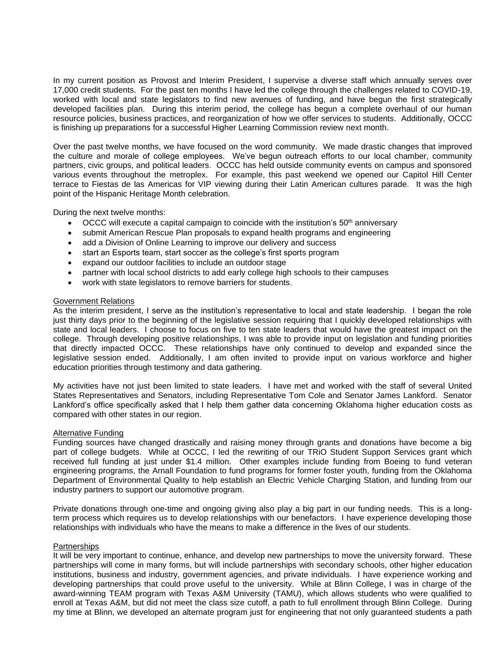In my current position as Provost and Interim President, I supervise a diverse staff which annually serves over 17,000 credit students. For the past ten months I have led the college through the challenges related to COVID-19, worked with local and state legislators to find new avenues of funding, and have begun the first strategically developed facilities plan. During this interim period, the college has begun a complete overhaul of our human resource policies, business practices, and reorganization of how we offer services to students. Additionally, OCCC is finishing up preparations for a successful Higher Learning Commission review next month.

Over the past twelve months, we have focused on the word community. We made drastic changes that improved the culture and morale of college employees. We've begun outreach efforts to our local chamber, community partners, civic groups, and political leaders. OCCC has held outside community events on campus and sponsored various events throughout the metroplex. For example, this past weekend we opened our Capitol Hill Center terrace to Fiestas de las Americas for VIP viewing during their Latin American cultures parade. It was the high point of the Hispanic Heritage Month celebration.

During the next twelve months:

- OCCC will execute a capital campaign to coincide with the institution's  $50<sup>th</sup>$  anniversary
- submit American Rescue Plan proposals to expand health programs and engineering
- add a Division of Online Learning to improve our delivery and success
- start an Esports team, start soccer as the college's first sports program
- expand our outdoor facilities to include an outdoor stage
- partner with local school districts to add early college high schools to their campuses
- work with state legislators to remove barriers for students.

#### Government Relations

As the interim president, I serve as the institution's representative to local and state leadership. I began the role just thirty days prior to the beginning of the legislative session requiring that I quickly developed relationships with state and local leaders. I choose to focus on five to ten state leaders that would have the greatest impact on the college. Through developing positive relationships, I was able to provide input on legislation and funding priorities that directly impacted OCCC. These relationships have only continued to develop and expanded since the legislative session ended. Additionally, I am often invited to provide input on various workforce and higher education priorities through testimony and data gathering.

My activities have not just been limited to state leaders. I have met and worked with the staff of several United States Representatives and Senators, including Representative Tom Cole and Senator James Lankford. Senator Lankford's office specifically asked that I help them gather data concerning Oklahoma higher education costs as compared with other states in our region.

#### Alternative Funding

Funding sources have changed drastically and raising money through grants and donations have become a big part of college budgets. While at OCCC, I led the rewriting of our TRIO Student Support Services grant which received full funding at just under \$1.4 million. Other examples include funding from Boeing to fund veteran engineering programs, the Arnall Foundation to fund programs for former foster youth, funding from the Oklahoma Department of Environmental Quality to help establish an Electric Vehicle Charging Station, and funding from our industry partners to support our automotive program.

Private donations through one-time and ongoing giving also play a big part in our funding needs. This is a longterm process which requires us to develop relationships with our benefactors. I have experience developing those relationships with individuals who have the means to make a difference in the lives of our students.

#### **Partnerships**

It will be very important to continue, enhance, and develop new partnerships to move the university forward. These partnerships will come in many forms, but will include partnerships with secondary schools, other higher education institutions, business and industry, government agencies, and private individuals. I have experience working and developing partnerships that could prove useful to the university. While at Blinn College, I was in charge of the award-winning TEAM program with Texas A&M University (TAMU), which allows students who were qualified to enroll at Texas A&M, but did not meet the class size cutoff, a path to full enrollment through Blinn College. During my time at Blinn, we developed an alternate program just for engineering that not only guaranteed students a path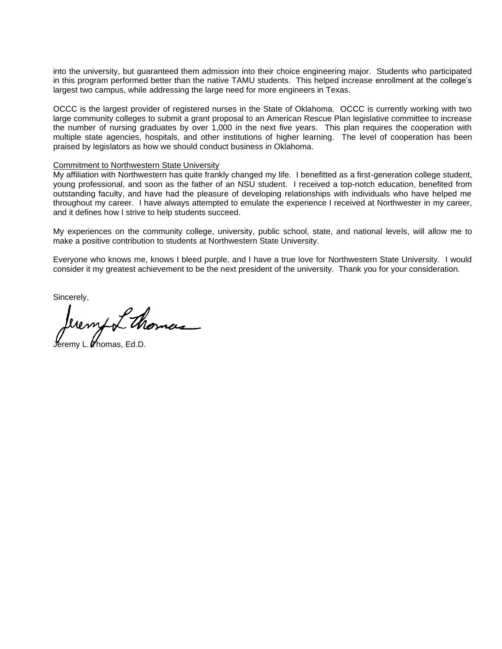into the university, but guaranteed them admission into their choice engineering major. Students who participated in this program performed better than the native TAMU students. This helped increase enrollment at the college's largest two campus, while addressing the large need for more engineers in Texas.

OCCC is the largest provider of registered nurses in the State of Oklahoma. OCCC is currently working with two large community colleges to submit a grant proposal to an American Rescue Plan legislative committee to increase the number of nursing graduates by over 1,000 in the next five years. This plan requires the cooperation with multiple state agencies, hospitals, and other institutions of higher learning. The level of cooperation has been praised by legislators as how we should conduct business in Oklahoma.

#### Commitment to Northwestern State University

My affiliation with Northwestern has quite frankly changed my life. I benefitted as a first-generation college student, young professional, and soon as the father of an NSU student. I received a top-notch education, benefited from outstanding faculty, and have had the pleasure of developing relationships with individuals who have helped me throughout my career. I have always attempted to emulate the experience I received at Northwester in my career, and it defines how I strive to help students succeed.

My experiences on the community college, university, public school, state, and national levels, will allow me to make a positive contribution to students at Northwestern State University.

Everyone who knows me, knows I bleed purple, and I have a true love for Northwestern State University. I would consider it my greatest achievement to be the next president of the university. Thank you for your consideration.

Sincerely,

mfor thomas

 $\epsilon$ remy L. $\boldsymbol{\mathscr{U}}$ homas. Ed.D.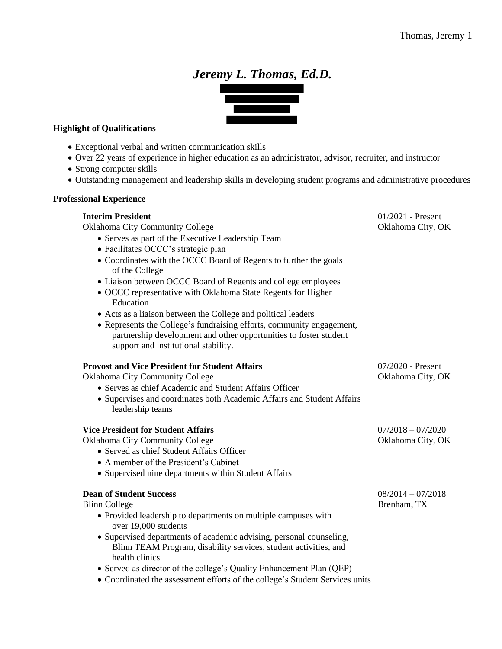# *Jeremy L. Thomas, Ed.D.*



## **Highlight of Qualifications**

- Exceptional verbal and written communication skills
- Over 22 years of experience in higher education as an administrator, advisor, recruiter, and instructor
- Strong computer skills
- Outstanding management and leadership skills in developing student programs and administrative procedures

## **Professional Experience**

## **Interim President 11/2021** - Present

Oklahoma City Community College Oklahoma City, OK

- Serves as part of the Executive Leadership Team
- Facilitates OCCC's strategic plan
- Coordinates with the OCCC Board of Regents to further the goals of the College
- Liaison between OCCC Board of Regents and college employees
- OCCC representative with Oklahoma State Regents for Higher Education
- Acts as a liaison between the College and political leaders
- Represents the College's fundraising efforts, community engagement, partnership development and other opportunities to foster student support and institutional stability.

## **Provost and Vice President for Student Affairs** 07/2020 - Present

Oklahoma City Community College Oklahoma City, OK

- Serves as chief Academic and Student Affairs Officer
- Supervises and coordinates both Academic Affairs and Student Affairs leadership teams

## **Vice President for Student Affairs** 07/2018 – 07/2020

Oklahoma City Community College Oklahoma City, OK

- Served as chief Student Affairs Officer
- A member of the President's Cabinet
- Supervised nine departments within Student Affairs

## **Dean of Student Success** 08/2014 – 07/2018

Blinn College Brenham, TX

- Provided leadership to departments on multiple campuses with over 19,000 students
- Supervised departments of academic advising, personal counseling, Blinn TEAM Program, disability services, student activities, and health clinics
- Served as director of the college's Quality Enhancement Plan (QEP)
- Coordinated the assessment efforts of the college's Student Services units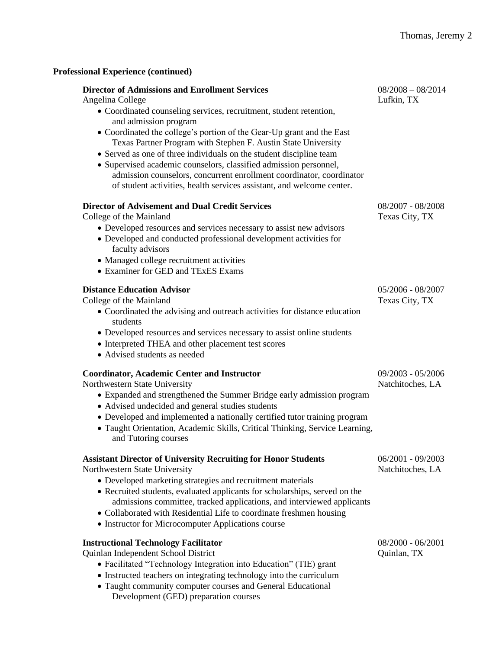# **Professional Experience (continued)**

| <b>Director of Admissions and Enrollment Services</b><br>Angelina College                                                                                                                                                                                                                     | $08/2008 - 08/2014$<br>Lufkin, TX       |
|-----------------------------------------------------------------------------------------------------------------------------------------------------------------------------------------------------------------------------------------------------------------------------------------------|-----------------------------------------|
| • Coordinated counseling services, recruitment, student retention,<br>and admission program                                                                                                                                                                                                   |                                         |
| • Coordinated the college's portion of the Gear-Up grant and the East<br>Texas Partner Program with Stephen F. Austin State University                                                                                                                                                        |                                         |
| • Served as one of three individuals on the student discipline team<br>• Supervised academic counselors, classified admission personnel,<br>admission counselors, concurrent enrollment coordinator, coordinator<br>of student activities, health services assistant, and welcome center.     |                                         |
| <b>Director of Advisement and Dual Credit Services</b><br>College of the Mainland                                                                                                                                                                                                             | 08/2007 - 08/2008<br>Texas City, TX     |
| • Developed resources and services necessary to assist new advisors<br>• Developed and conducted professional development activities for<br>faculty advisors                                                                                                                                  |                                         |
| • Managed college recruitment activities<br>• Examiner for GED and TExES Exams                                                                                                                                                                                                                |                                         |
| <b>Distance Education Advisor</b><br>College of the Mainland                                                                                                                                                                                                                                  | 05/2006 - 08/2007<br>Texas City, TX     |
| • Coordinated the advising and outreach activities for distance education<br>students                                                                                                                                                                                                         |                                         |
| • Developed resources and services necessary to assist online students<br>• Interpreted THEA and other placement test scores<br>• Advised students as needed                                                                                                                                  |                                         |
| <b>Coordinator, Academic Center and Instructor</b><br>Northwestern State University                                                                                                                                                                                                           | 09/2003 - 05/2006<br>Natchitoches, LA   |
| • Expanded and strengthened the Summer Bridge early admission program<br>• Advised undecided and general studies students                                                                                                                                                                     |                                         |
| • Developed and implemented a nationally certified tutor training program<br>· Taught Orientation, Academic Skills, Critical Thinking, Service Learning,<br>and Tutoring courses                                                                                                              |                                         |
| <b>Assistant Director of University Recruiting for Honor Students</b><br>Northwestern State University                                                                                                                                                                                        | $06/2001 - 09/2003$<br>Natchitoches, LA |
| • Developed marketing strategies and recruitment materials<br>• Recruited students, evaluated applicants for scholarships, served on the<br>admissions committee, tracked applications, and interviewed applicants<br>• Collaborated with Residential Life to coordinate freshmen housing     |                                         |
| • Instructor for Microcomputer Applications course                                                                                                                                                                                                                                            |                                         |
| <b>Instructional Technology Facilitator</b><br>Quinlan Independent School District<br>• Facilitated "Technology Integration into Education" (TIE) grant<br>• Instructed teachers on integrating technology into the curriculum<br>• Taught community computer courses and General Educational | $08/2000 - 06/2001$<br>Quinlan, TX      |

Development (GED) preparation courses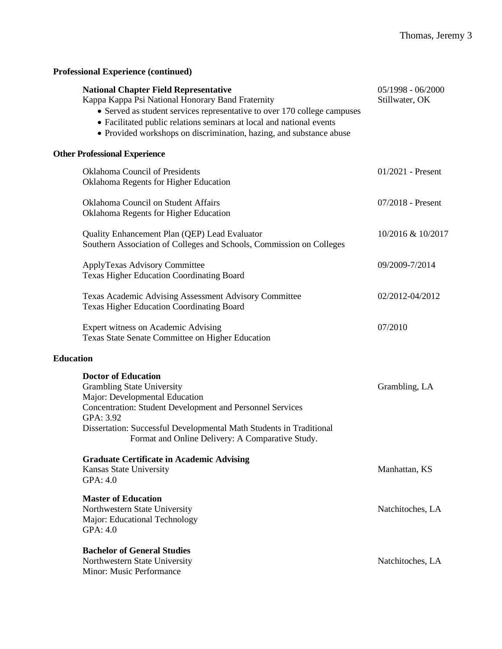| <b>Professional Experience (continued)</b>                                                                                                                                                                                                                                                                                   |                                       |
|------------------------------------------------------------------------------------------------------------------------------------------------------------------------------------------------------------------------------------------------------------------------------------------------------------------------------|---------------------------------------|
| <b>National Chapter Field Representative</b><br>Kappa Kappa Psi National Honorary Band Fraternity<br>• Served as student services representative to over 170 college campuses<br>• Facilitated public relations seminars at local and national events<br>• Provided workshops on discrimination, hazing, and substance abuse | $05/1998 - 06/2000$<br>Stillwater, OK |
| <b>Other Professional Experience</b>                                                                                                                                                                                                                                                                                         |                                       |
| Oklahoma Council of Presidents<br>Oklahoma Regents for Higher Education                                                                                                                                                                                                                                                      | $01/2021$ - Present                   |
| Oklahoma Council on Student Affairs<br>Oklahoma Regents for Higher Education                                                                                                                                                                                                                                                 | 07/2018 - Present                     |
| Quality Enhancement Plan (QEP) Lead Evaluator<br>Southern Association of Colleges and Schools, Commission on Colleges                                                                                                                                                                                                        | 10/2016 & 10/2017                     |
| ApplyTexas Advisory Committee<br><b>Texas Higher Education Coordinating Board</b>                                                                                                                                                                                                                                            | 09/2009-7/2014                        |
| Texas Academic Advising Assessment Advisory Committee<br><b>Texas Higher Education Coordinating Board</b>                                                                                                                                                                                                                    | 02/2012-04/2012                       |
| Expert witness on Academic Advising<br>Texas State Senate Committee on Higher Education                                                                                                                                                                                                                                      | 07/2010                               |
| <b>Education</b>                                                                                                                                                                                                                                                                                                             |                                       |
| <b>Doctor of Education</b><br><b>Grambling State University</b><br>Major: Developmental Education<br><b>Concentration: Student Development and Personnel Services</b><br>GPA: 3.92<br>Dissertation: Successful Developmental Math Students in Traditional<br>Format and Online Delivery: A Comparative Study.                | Grambling, LA                         |
| <b>Graduate Certificate in Academic Advising</b><br>Kansas State University<br>GPA: 4.0                                                                                                                                                                                                                                      | Manhattan, KS                         |
| <b>Master of Education</b><br>Northwestern State University<br>Major: Educational Technology<br>GPA: 4.0                                                                                                                                                                                                                     | Natchitoches, LA                      |
| <b>Bachelor of General Studies</b><br>Northwestern State University<br>Minor: Music Performance                                                                                                                                                                                                                              | Natchitoches, LA                      |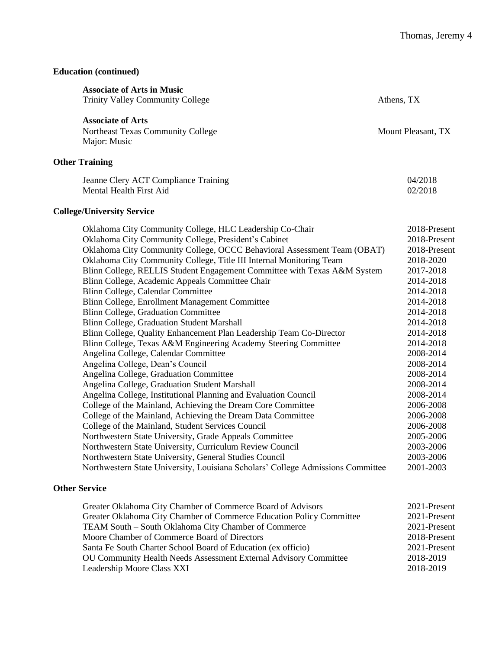## **Education (continued)**

| Athens, TX                                                                                                                                                                                                                                                                                                                                                                                                                                                                                                              |                                              |
|-------------------------------------------------------------------------------------------------------------------------------------------------------------------------------------------------------------------------------------------------------------------------------------------------------------------------------------------------------------------------------------------------------------------------------------------------------------------------------------------------------------------------|----------------------------------------------|
| Mount Pleasant, TX                                                                                                                                                                                                                                                                                                                                                                                                                                                                                                      |                                              |
|                                                                                                                                                                                                                                                                                                                                                                                                                                                                                                                         |                                              |
| 04/2018<br>02/2018                                                                                                                                                                                                                                                                                                                                                                                                                                                                                                      |                                              |
|                                                                                                                                                                                                                                                                                                                                                                                                                                                                                                                         |                                              |
| Oklahoma City Community College, OCCC Behavioral Assessment Team (OBAT)<br>2018-2020<br>Blinn College, RELLIS Student Engagement Committee with Texas A&M System<br>2017-2018<br>2014-2018<br>2014-2018<br>2014-2018<br>2014-2018<br>2014-2018<br>2014-2018<br>2014-2018<br>2008-2014<br>2008-2014<br>2008-2014<br>2008-2014<br>2008-2014<br>2006-2008<br>2006-2008<br>2006-2008<br>2005-2006<br>2003-2006<br>2003-2006<br>Northwestern State University, Louisiana Scholars' College Admissions Committee<br>2001-2003 |                                              |
|                                                                                                                                                                                                                                                                                                                                                                                                                                                                                                                         | 2018-Present<br>2018-Present<br>2018-Present |

# **Other Service**

| Greater Oklahoma City Chamber of Commerce Board of Advisors          | 2021-Present |
|----------------------------------------------------------------------|--------------|
| Greater Oklahoma City Chamber of Commerce Education Policy Committee | 2021-Present |
| TEAM South - South Oklahoma City Chamber of Commerce                 | 2021-Present |
| Moore Chamber of Commerce Board of Directors                         | 2018-Present |
| Santa Fe South Charter School Board of Education (ex officio)        | 2021-Present |
| OU Community Health Needs Assessment External Advisory Committee     | 2018-2019    |
| Leadership Moore Class XXI                                           | 2018-2019    |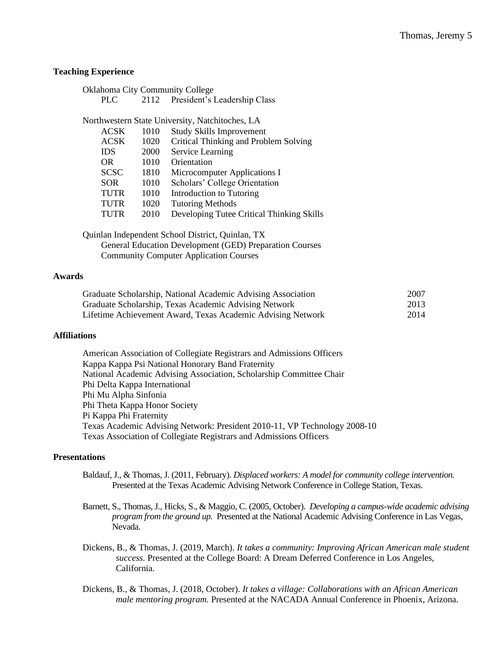## **Teaching Experience**

PLC 2112 President's Leadership Class

Northwestern State University, Natchitoches, LA

| 1010 | <b>Study Skills Improvement</b>           |
|------|-------------------------------------------|
| 1020 | Critical Thinking and Problem Solving     |
| 2000 | Service Learning                          |
| 1010 | Orientation                               |
| 1810 | Microcomputer Applications I              |
| 1010 | Scholars' College Orientation             |
| 1010 | Introduction to Tutoring                  |
| 1020 | <b>Tutoring Methods</b>                   |
| 2010 | Developing Tutee Critical Thinking Skills |
|      |                                           |

Quinlan Independent School District, Quinlan, TX General Education Development (GED) Preparation Courses Community Computer Application Courses

#### **Awards**

| Graduate Scholarship, National Academic Advising Association | 2007 |
|--------------------------------------------------------------|------|
| Graduate Scholarship, Texas Academic Advising Network        | 2013 |
| Lifetime Achievement Award, Texas Academic Advising Network  | 2014 |

#### **Affiliations**

American Association of Collegiate Registrars and Admissions Officers Kappa Kappa Psi National Honorary Band Fraternity National Academic Advising Association, Scholarship Committee Chair Phi Delta Kappa International Phi Mu Alpha Sinfonia Phi Theta Kappa Honor Society Pi Kappa Phi Fraternity Texas Academic Advising Network: President 2010-11, VP Technology 2008-10 Texas Association of Collegiate Registrars and Admissions Officers

## **Presentations**

- Baldauf, J., & Thomas, J. (2011, February). *Displaced workers: A model for community college intervention.* Presented at the Texas Academic Advising Network Conference in College Station, Texas.
- Barnett, S., Thomas, J., Hicks, S., & Maggio, C. (2005, October). *Developing a campus-wide academic advising program from the ground up.* Presented at the National Academic Advising Conference in Las Vegas, Nevada.
- Dickens, B., & Thomas, J. (2019, March). *It takes a community: Improving African American male student success.* Presented at the College Board: A Dream Deferred Conference in Los Angeles, California.

Dickens, B., & Thomas, J. (2018, October). *It takes a village: Collaborations with an African American male mentoring program.* Presented at the NACADA Annual Conference in Phoenix, Arizona.